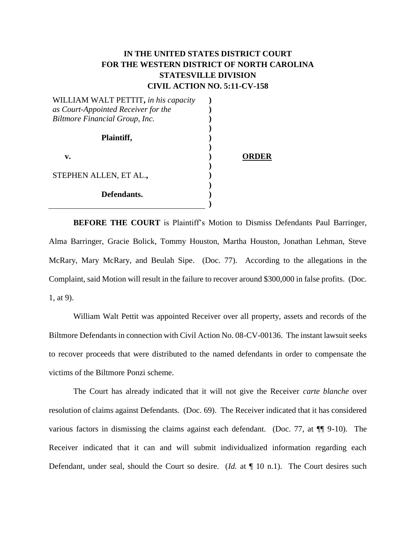## **IN THE UNITED STATES DISTRICT COURT FOR THE WESTERN DISTRICT OF NORTH CAROLINA STATESVILLE DIVISION CIVIL ACTION NO. 5:11-CV-158**

| WILLIAM WALT PETTIT, in his capacity |     |
|--------------------------------------|-----|
| as Court-Appointed Receiver for the  |     |
| Biltmore Financial Group, Inc.       |     |
| Plaintiff,                           |     |
| v.                                   | ER. |
| STEPHEN ALLEN, ET AL.,               |     |
| Defendants.                          |     |

**BEFORE THE COURT** is Plaintiff's Motion to Dismiss Defendants Paul Barringer, Alma Barringer, Gracie Bolick, Tommy Houston, Martha Houston, Jonathan Lehman, Steve McRary, Mary McRary, and Beulah Sipe. (Doc. 77). According to the allegations in the Complaint, said Motion will result in the failure to recover around \$300,000 in false profits. (Doc. 1, at 9).

William Walt Pettit was appointed Receiver over all property, assets and records of the Biltmore Defendants in connection with Civil Action No. 08-CV-00136. The instant lawsuit seeks to recover proceeds that were distributed to the named defendants in order to compensate the victims of the Biltmore Ponzi scheme.

The Court has already indicated that it will not give the Receiver *carte blanche* over resolution of claims against Defendants. (Doc. 69). The Receiver indicated that it has considered various factors in dismissing the claims against each defendant. (Doc. 77, at ¶¶ 9-10). The Receiver indicated that it can and will submit individualized information regarding each Defendant, under seal, should the Court so desire. (*Id.* at ¶ 10 n.1). The Court desires such